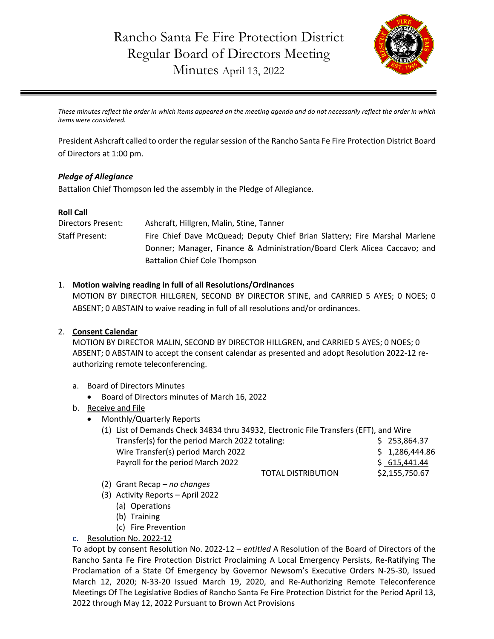

*These minutes reflect the order in which items appeared on the meeting agenda and do not necessarily reflect the order in which items were considered.*

President Ashcraft called to order the regular session of the Rancho Santa Fe Fire Protection District Board of Directors at 1:00 pm.

#### *Pledge of Allegiance*

Battalion Chief Thompson led the assembly in the Pledge of Allegiance.

#### **Roll Call**

| Directors Present:    | Ashcraft, Hillgren, Malin, Stine, Tanner                                   |
|-----------------------|----------------------------------------------------------------------------|
| <b>Staff Present:</b> | Fire Chief Dave McQuead; Deputy Chief Brian Slattery; Fire Marshal Marlene |
|                       | Donner; Manager, Finance & Administration/Board Clerk Alicea Caccavo; and  |
|                       | <b>Battalion Chief Cole Thompson</b>                                       |

#### 1. **Motion waiving reading in full of all Resolutions/Ordinances**

MOTION BY DIRECTOR HILLGREN, SECOND BY DIRECTOR STINE, and CARRIED 5 AYES; 0 NOES; 0 ABSENT; 0 ABSTAIN to waive reading in full of all resolutions and/or ordinances.

### 2. **Consent Calendar**

MOTION BY DIRECTOR MALIN, SECOND BY DIRECTOR HILLGREN, and CARRIED 5 AYES; 0 NOES; 0 ABSENT; 0 ABSTAIN to accept the consent calendar as presented and adopt Resolution 2022-12 reauthorizing remote teleconferencing.

### a. Board of Directors Minutes

- Board of Directors minutes of March 16, 2022
- b. Receive and File
	- Monthly/Quarterly Reports

| (1) List of Demands Check 34834 thru 34932, Electronic File Transfers (EFT), and Wire |  |                |  |
|---------------------------------------------------------------------------------------|--|----------------|--|
| Transfer(s) for the period March 2022 totaling:                                       |  | \$253,864.37   |  |
| Wire Transfer(s) period March 2022                                                    |  | \$1,286,444.86 |  |
| Payroll for the period March 2022                                                     |  | \$615,441.44   |  |
| <b>TOTAL DISTRIBUTION</b>                                                             |  | \$2,155,750.67 |  |

- (2) Grant Recap *no changes*
- (3) Activity Reports April 2022
	- (a) Operations
	- (b) Training
	- (c) Fire Prevention
- c. Resolution No. 2022-12

To adopt by consent Resolution No. 2022-12 – *entitled* A Resolution of the Board of Directors of the Rancho Santa Fe Fire Protection District Proclaiming A Local Emergency Persists, Re-Ratifying The Proclamation of a State Of Emergency by Governor Newsom's Executive Orders N-25-30, Issued March 12, 2020; N-33-20 Issued March 19, 2020, and Re-Authorizing Remote Teleconference Meetings Of The Legislative Bodies of Rancho Santa Fe Fire Protection District for the Period April 13, 2022 through May 12, 2022 Pursuant to Brown Act Provisions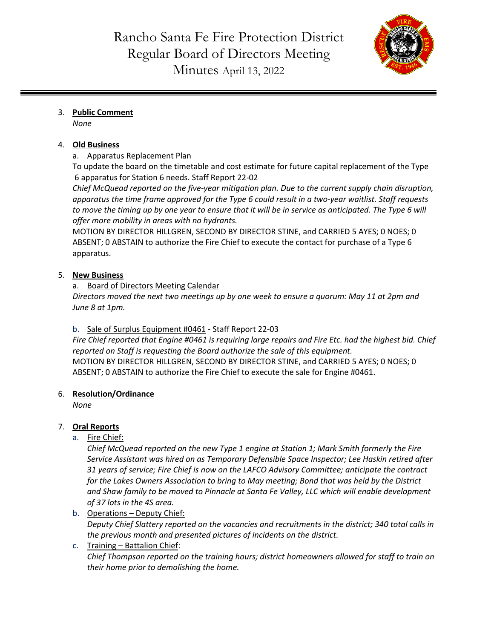

# 3. **Public Comment**

*None*

# 4. **Old Business**

a. Apparatus Replacement Plan

To update the board on the timetable and cost estimate for future capital replacement of the Type 6 apparatus for Station 6 needs. Staff Report 22-02

*Chief McQuead reported on the five-year mitigation plan. Due to the current supply chain disruption, apparatus the time frame approved for the Type 6 could result in a two-year waitlist. Staff requests to move the timing up by one year to ensure that it will be in service as anticipated. The Type 6 will offer more mobility in areas with no hydrants.*

MOTION BY DIRECTOR HILLGREN, SECOND BY DIRECTOR STINE, and CARRIED 5 AYES; 0 NOES; 0 ABSENT; 0 ABSTAIN to authorize the Fire Chief to execute the contact for purchase of a Type 6 apparatus.

## 5. **New Business**

a. Board of Directors Meeting Calendar

*Directors moved the next two meetings up by one week to ensure a quorum: May 11 at 2pm and June 8 at 1pm.*

b. Sale of Surplus Equipment #0461 - Staff Report 22-03

*Fire Chief reported that Engine #0461 is requiring large repairs and Fire Etc. had the highest bid. Chief reported on Staff is requesting the Board authorize the sale of this equipment.*  MOTION BY DIRECTOR HILLGREN, SECOND BY DIRECTOR STINE, and CARRIED 5 AYES; 0 NOES; 0 ABSENT; 0 ABSTAIN to authorize the Fire Chief to execute the sale for Engine #0461.

### 6. **Resolution/Ordinance**

*None*

# 7. **Oral Reports**

a. Fire Chief:

*Chief McQuead reported on the new Type 1 engine at Station 1; Mark Smith formerly the Fire Service Assistant was hired on as Temporary Defensible Space Inspector; Lee Haskin retired after 31 years of service; Fire Chief is now on the LAFCO Advisory Committee; anticipate the contract for the Lakes Owners Association to bring to May meeting; Bond that was held by the District and Shaw family to be moved to Pinnacle at Santa Fe Valley, LLC which will enable development of 37 lots in the 4S area.*

b. Operations - Deputy Chief:

*Deputy Chief Slattery reported on the vacancies and recruitments in the district; 340 total calls in the previous month and presented pictures of incidents on the district.*

### c. Training – Battalion Chief: *Chief Thompson reported on the training hours; district homeowners allowed for staff to train on their home prior to demolishing the home.*